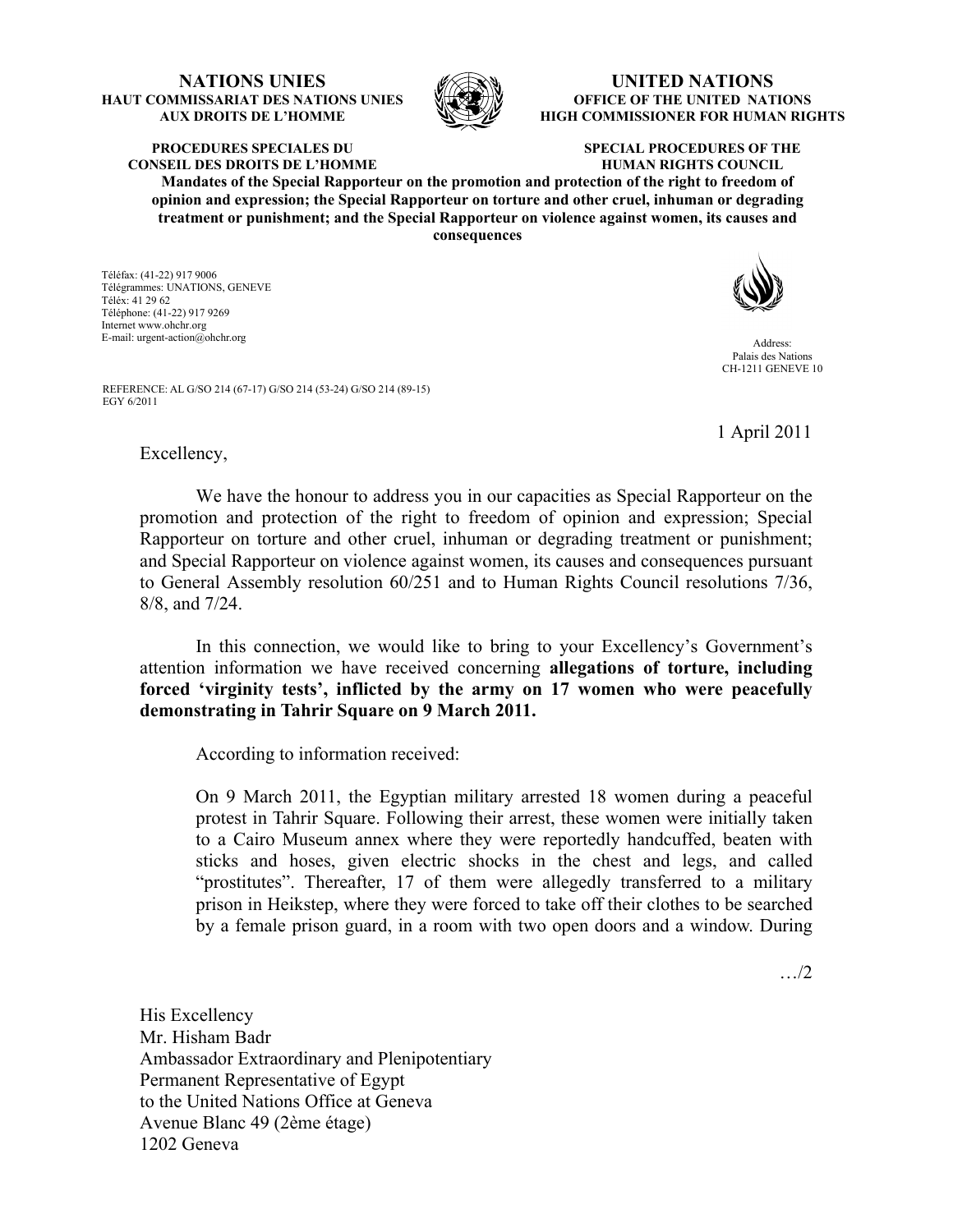## **NATIONS UNIES HAUT COMMISSARIAT DES NATIONS UNIES AUX DROITS DE L'HOMME**



## **UNITED NATIONS OFFICE OF THE UNITED NATIONS HIGH COMMISSIONER FOR HUMAN RIGHTS**

**PROCEDURES SPECIALES DU CONSEIL DES DROITS DE L'HOMME**

## **SPECIAL PROCEDURES OF THE HUMAN RIGHTS COUNCIL**

**Mandates of the Special Rapporteur on the promotion and protection of the right to freedom of opinion and expression; the Special Rapporteur on torture and other cruel, inhuman or degrading treatment or punishment; and the Special Rapporteur on violence against women, its causes and consequences**

Téléfax: (41-22) 917 9006 Télégrammes: UNATIONS, GENEVE Téléx: 41 29 62 Téléphone: (41-22) 917 9269 Internet www.ohchr.org E-mail: urgent-action@ohchr.org Address:



Palais des Nations CH-1211 GENEVE 10

REFERENCE: AL G/SO 214 (67-17) G/SO 214 (53-24) G/SO 214 (89-15) EGY 6/2011

1 April 2011

## Excellency,

 We have the honour to address you in our capacities as Special Rapporteur on the promotion and protection of the right to freedom of opinion and expression; Special Rapporteur on torture and other cruel, inhuman or degrading treatment or punishment; and Special Rapporteur on violence against women, its causes and consequences pursuant to General Assembly resolution 60/251 and to Human Rights Council resolutions 7/36, 8/8, and 7/24.

 In this connection, we would like to bring to your Excellency's Government's attention information we have received concerning **allegations of torture, including forced 'virginity tests', inflicted by the army on 17 women who were peacefully demonstrating in Tahrir Square on 9 March 2011.**

According to information received:

On 9 March 2011, the Egyptian military arrested 18 women during a peaceful protest in Tahrir Square. Following their arrest, these women were initially taken to a Cairo Museum annex where they were reportedly handcuffed, beaten with sticks and hoses, given electric shocks in the chest and legs, and called "prostitutes". Thereafter, 17 of them were allegedly transferred to a military prison in Heikstep, where they were forced to take off their clothes to be searched by a female prison guard, in a room with two open doors and a window. During

…/2

His Excellency Mr. Hisham Badr Ambassador Extraordinary and Plenipotentiary Permanent Representative of Egypt to the United Nations Office at Geneva Avenue Blanc 49 (2ème étage) 1202 Geneva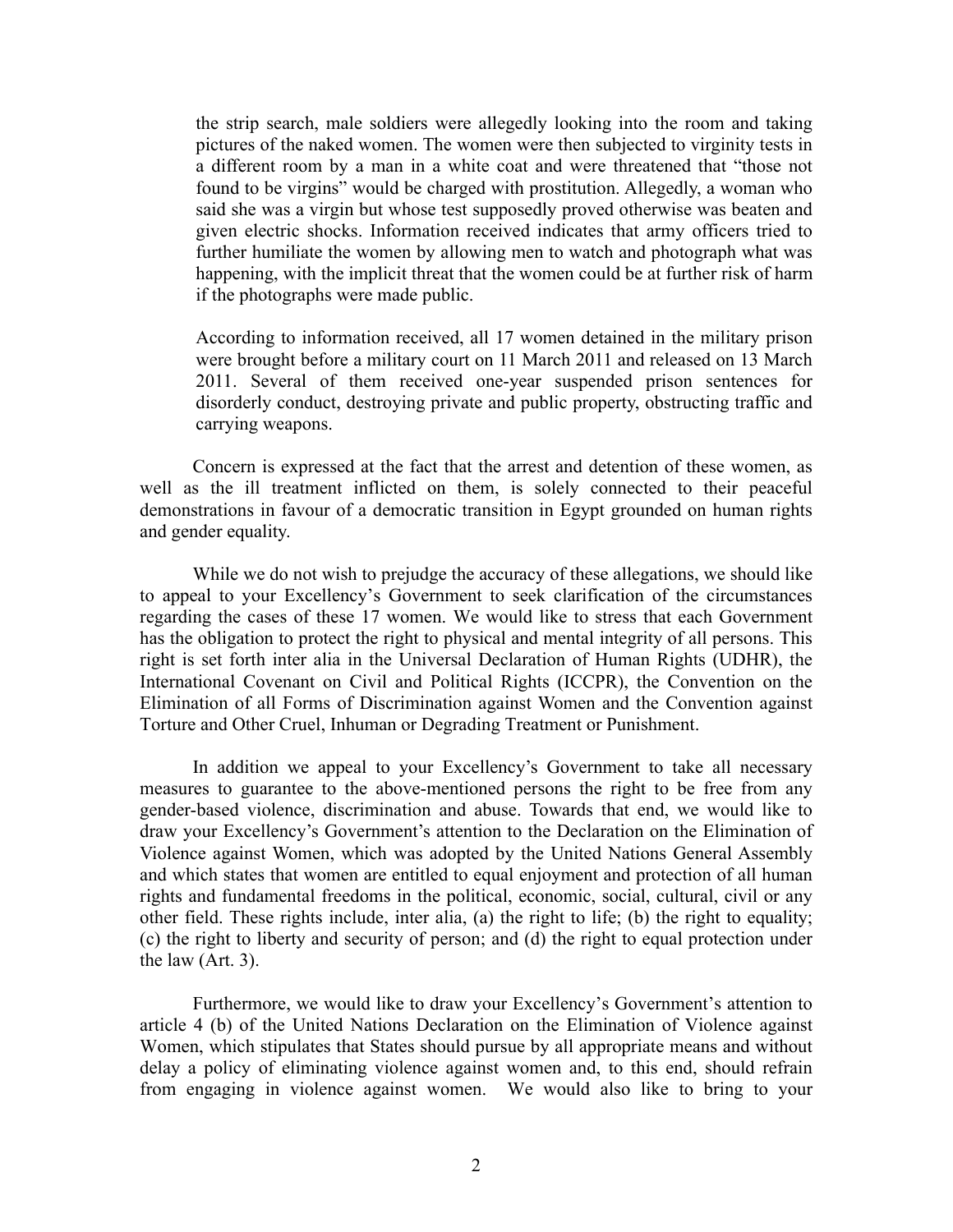the strip search, male soldiers were allegedly looking into the room and taking pictures of the naked women. The women were then subjected to virginity tests in a different room by a man in a white coat and were threatened that "those not found to be virgins" would be charged with prostitution. Allegedly, a woman who said she was a virgin but whose test supposedly proved otherwise was beaten and given electric shocks. Information received indicates that army officers tried to further humiliate the women by allowing men to watch and photograph what was happening, with the implicit threat that the women could be at further risk of harm if the photographs were made public.

According to information received, all 17 women detained in the military prison were brought before a military court on 11 March 2011 and released on 13 March 2011. Several of them received one-year suspended prison sentences for disorderly conduct, destroying private and public property, obstructing traffic and carrying weapons.

Concern is expressed at the fact that the arrest and detention of these women, as well as the ill treatment inflicted on them, is solely connected to their peaceful demonstrations in favour of a democratic transition in Egypt grounded on human rights and gender equality.

While we do not wish to prejudge the accuracy of these allegations, we should like to appeal to your Excellency's Government to seek clarification of the circumstances regarding the cases of these 17 women. We would like to stress that each Government has the obligation to protect the right to physical and mental integrity of all persons. This right is set forth inter alia in the Universal Declaration of Human Rights (UDHR), the International Covenant on Civil and Political Rights (ICCPR), the Convention on the Elimination of all Forms of Discrimination against Women and the Convention against Torture and Other Cruel, Inhuman or Degrading Treatment or Punishment.

In addition we appeal to your Excellency's Government to take all necessary measures to guarantee to the above-mentioned persons the right to be free from any gender-based violence, discrimination and abuse. Towards that end, we would like to draw your Excellency's Government's attention to the Declaration on the Elimination of Violence against Women, which was adopted by the United Nations General Assembly and which states that women are entitled to equal enjoyment and protection of all human rights and fundamental freedoms in the political, economic, social, cultural, civil or any other field. These rights include, inter alia, (a) the right to life; (b) the right to equality; (c) the right to liberty and security of person; and (d) the right to equal protection under the law (Art. 3).

Furthermore, we would like to draw your Excellency's Government's attention to article 4 (b) of the United Nations Declaration on the Elimination of Violence against Women, which stipulates that States should pursue by all appropriate means and without delay a policy of eliminating violence against women and, to this end, should refrain from engaging in violence against women. We would also like to bring to your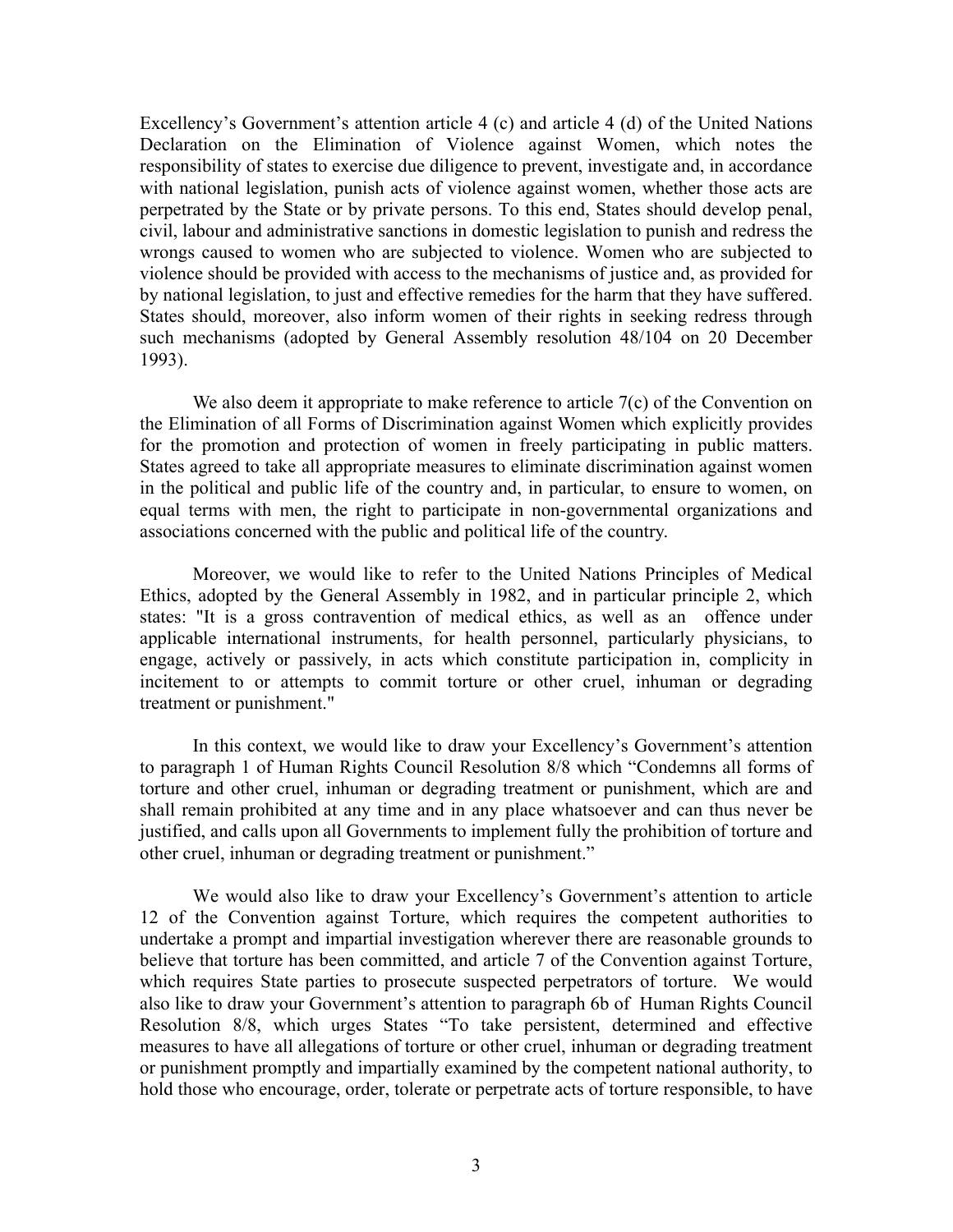Excellency's Government's attention article 4 (c) and article 4 (d) of the United Nations Declaration on the Elimination of Violence against Women, which notes the responsibility of states to exercise due diligence to prevent, investigate and, in accordance with national legislation, punish acts of violence against women, whether those acts are perpetrated by the State or by private persons. To this end, States should develop penal, civil, labour and administrative sanctions in domestic legislation to punish and redress the wrongs caused to women who are subjected to violence. Women who are subjected to violence should be provided with access to the mechanisms of justice and, as provided for by national legislation, to just and effective remedies for the harm that they have suffered. States should, moreover, also inform women of their rights in seeking redress through such mechanisms (adopted by General Assembly resolution 48/104 on 20 December 1993).

We also deem it appropriate to make reference to article 7(c) of the Convention on the Elimination of all Forms of Discrimination against Women which explicitly provides for the promotion and protection of women in freely participating in public matters. States agreed to take all appropriate measures to eliminate discrimination against women in the political and public life of the country and, in particular, to ensure to women, on equal terms with men, the right to participate in non-governmental organizations and associations concerned with the public and political life of the country.

Moreover, we would like to refer to the United Nations Principles of Medical Ethics, adopted by the General Assembly in 1982, and in particular principle 2, which states: "It is a gross contravention of medical ethics, as well as an offence under applicable international instruments, for health personnel, particularly physicians, to engage, actively or passively, in acts which constitute participation in, complicity in incitement to or attempts to commit torture or other cruel, inhuman or degrading treatment or punishment."

In this context, we would like to draw your Excellency's Government's attention to paragraph 1 of Human Rights Council Resolution 8/8 which "Condemns all forms of torture and other cruel, inhuman or degrading treatment or punishment, which are and shall remain prohibited at any time and in any place whatsoever and can thus never be justified, and calls upon all Governments to implement fully the prohibition of torture and other cruel, inhuman or degrading treatment or punishment."

We would also like to draw your Excellency's Government's attention to article 12 of the Convention against Torture, which requires the competent authorities to undertake a prompt and impartial investigation wherever there are reasonable grounds to believe that torture has been committed, and article 7 of the Convention against Torture, which requires State parties to prosecute suspected perpetrators of torture. We would also like to draw your Government's attention to paragraph 6b of Human Rights Council Resolution 8/8, which urges States "To take persistent, determined and effective measures to have all allegations of torture or other cruel, inhuman or degrading treatment or punishment promptly and impartially examined by the competent national authority, to hold those who encourage, order, tolerate or perpetrate acts of torture responsible, to have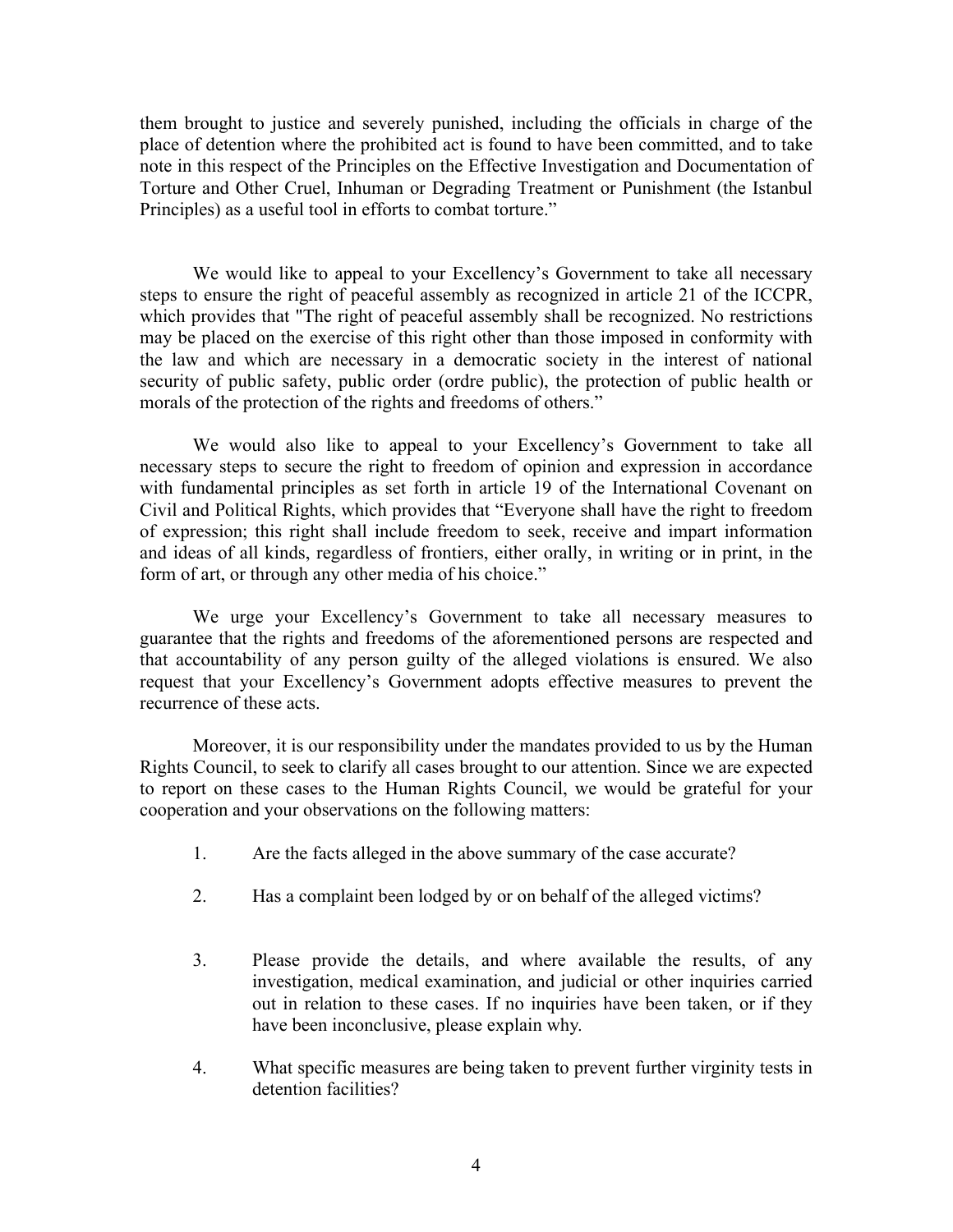them brought to justice and severely punished, including the officials in charge of the place of detention where the prohibited act is found to have been committed, and to take note in this respect of the Principles on the Effective Investigation and Documentation of Torture and Other Cruel, Inhuman or Degrading Treatment or Punishment (the Istanbul Principles) as a useful tool in efforts to combat torture."

We would like to appeal to your Excellency's Government to take all necessary steps to ensure the right of peaceful assembly as recognized in article 21 of the ICCPR, which provides that "The right of peaceful assembly shall be recognized. No restrictions may be placed on the exercise of this right other than those imposed in conformity with the law and which are necessary in a democratic society in the interest of national security of public safety, public order (ordre public), the protection of public health or morals of the protection of the rights and freedoms of others."

We would also like to appeal to your Excellency's Government to take all necessary steps to secure the right to freedom of opinion and expression in accordance with fundamental principles as set forth in article 19 of the International Covenant on Civil and Political Rights, which provides that "Everyone shall have the right to freedom of expression; this right shall include freedom to seek, receive and impart information and ideas of all kinds, regardless of frontiers, either orally, in writing or in print, in the form of art, or through any other media of his choice."

 We urge your Excellency's Government to take all necessary measures to guarantee that the rights and freedoms of the aforementioned persons are respected and that accountability of any person guilty of the alleged violations is ensured. We also request that your Excellency's Government adopts effective measures to prevent the recurrence of these acts.

Moreover, it is our responsibility under the mandates provided to us by the Human Rights Council, to seek to clarify all cases brought to our attention. Since we are expected to report on these cases to the Human Rights Council, we would be grateful for your cooperation and your observations on the following matters:

- 1. Are the facts alleged in the above summary of the case accurate?
- 2. Has a complaint been lodged by or on behalf of the alleged victims?
- 3. Please provide the details, and where available the results, of any investigation, medical examination, and judicial or other inquiries carried out in relation to these cases. If no inquiries have been taken, or if they have been inconclusive, please explain why.
- 4. What specific measures are being taken to prevent further virginity tests in detention facilities?